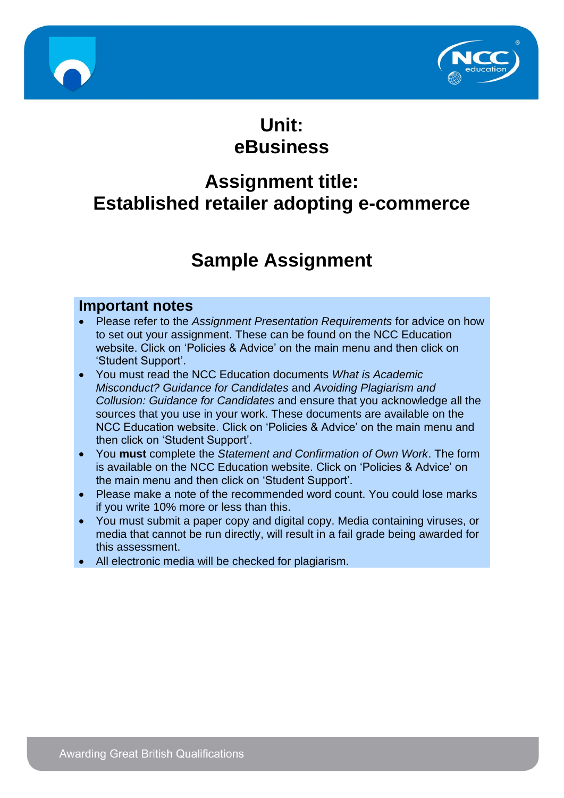



# **Unit: eBusiness**

# **Assignment title: Established retailer adopting e-commerce**

# **Sample Assignment**

### **Important notes**

- Please refer to the *Assignment Presentation Requirements* for advice on how to set out your assignment. These can be found on the NCC Education website. Click on 'Policies & Advice' on the main menu and then click on 'Student Support'.
- You must read the NCC Education documents *What is Academic Misconduct? Guidance for Candidates* and *Avoiding Plagiarism and Collusion: Guidance for Candidates* and ensure that you acknowledge all the sources that you use in your work. These documents are available on the NCC Education website. Click on 'Policies & Advice' on the main menu and then click on 'Student Support'.
- You **must** complete the *Statement and Confirmation of Own Work*. The form is available on the NCC Education website. Click on 'Policies & Advice' on the main menu and then click on 'Student Support'.
- Please make a note of the recommended word count. You could lose marks if you write 10% more or less than this.
- You must submit a paper copy and digital copy. Media containing viruses, or media that cannot be run directly, will result in a fail grade being awarded for this assessment.
- All electronic media will be checked for plagiarism.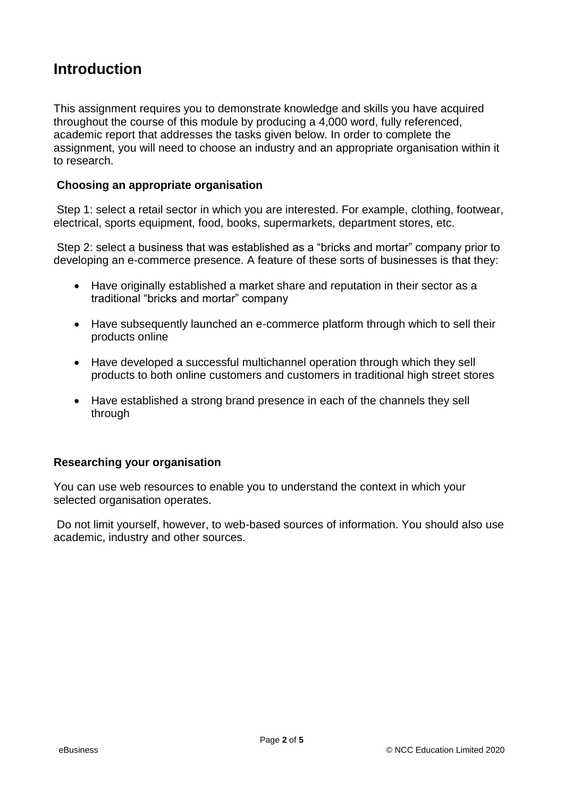## **Introduction**

This assignment requires you to demonstrate knowledge and skills you have acquired throughout the course of this module by producing a 4,000 word, fully referenced, academic report that addresses the tasks given below. In order to complete the assignment, you will need to choose an industry and an appropriate organisation within it to research.

#### **Choosing an appropriate organisation**

Step 1: select a retail sector in which you are interested. For example, clothing, footwear, electrical, sports equipment, food, books, supermarkets, department stores, etc.

Step 2: select a business that was established as a "bricks and mortar" company prior to developing an e-commerce presence. A feature of these sorts of businesses is that they:

- Have originally established a market share and reputation in their sector as a traditional "bricks and mortar" company
- Have subsequently launched an e-commerce platform through which to sell their products online
- Have developed a successful multichannel operation through which they sell products to both online customers and customers in traditional high street stores
- Have established a strong brand presence in each of the channels they sell through

#### **Researching your organisation**

You can use web resources to enable you to understand the context in which your selected organisation operates.

Do not limit yourself, however, to web-based sources of information. You should also use academic, industry and other sources.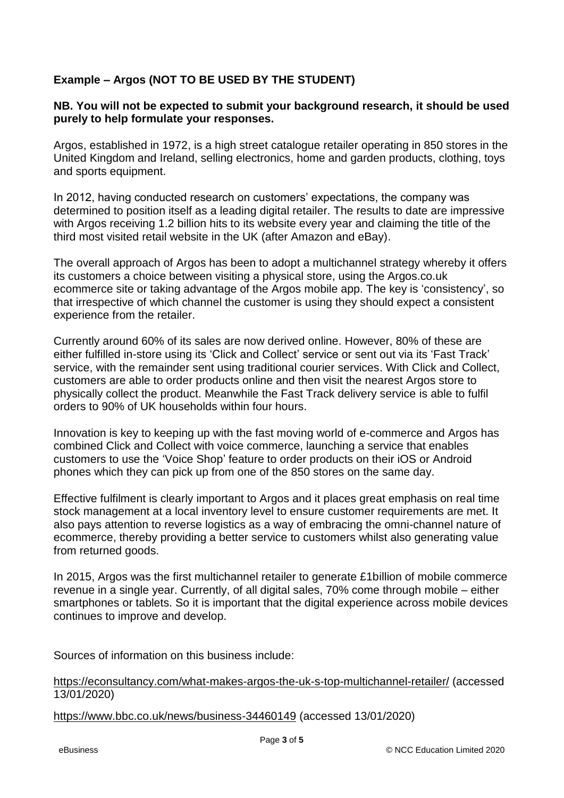#### **Example – Argos (NOT TO BE USED BY THE STUDENT)**

#### **NB. You will not be expected to submit your background research, it should be used purely to help formulate your responses.**

Argos, established in 1972, is a high street catalogue retailer operating in 850 stores in the United Kingdom and Ireland, selling electronics, home and garden products, clothing, toys and sports equipment.

In 2012, having conducted research on customers' expectations, the company was determined to position itself as a leading digital retailer. The results to date are impressive with Argos receiving 1.2 billion hits to its website every year and claiming the title of the third most visited retail website in the UK (after Amazon and eBay).

The overall approach of Argos has been to adopt a multichannel strategy whereby it offers its customers a choice between visiting a physical store, using the Argos.co.uk ecommerce site or taking advantage of the Argos mobile app. The key is 'consistency', so that irrespective of which channel the customer is using they should expect a consistent experience from the retailer.

Currently around 60% of its sales are now derived online. However, 80% of these are either fulfilled in-store using its 'Click and Collect' service or sent out via its 'Fast Track' service, with the remainder sent using traditional courier services. With Click and Collect, customers are able to order products online and then visit the nearest Argos store to physically collect the product. Meanwhile the Fast Track delivery service is able to fulfil orders to 90% of UK households within four hours.

Innovation is key to keeping up with the fast moving world of e-commerce and Argos has combined Click and Collect with voice commerce, launching a service that enables customers to use the 'Voice Shop' feature to order products on their iOS or Android phones which they can pick up from one of the 850 stores on the same day.

Effective fulfilment is clearly important to Argos and it places great emphasis on real time stock management at a local inventory level to ensure customer requirements are met. It also pays attention to reverse logistics as a way of embracing the omni-channel nature of ecommerce, thereby providing a better service to customers whilst also generating value from returned goods.

In 2015, Argos was the first multichannel retailer to generate £1billion of mobile commerce revenue in a single year. Currently, of all digital sales, 70% come through mobile – either smartphones or tablets. So it is important that the digital experience across mobile devices continues to improve and develop.

Sources of information on this business include:

<https://econsultancy.com/what-makes-argos-the-uk-s-top-multichannel-retailer/> (accessed 13/01/2020)

<https://www.bbc.co.uk/news/business-34460149> (accessed 13/01/2020)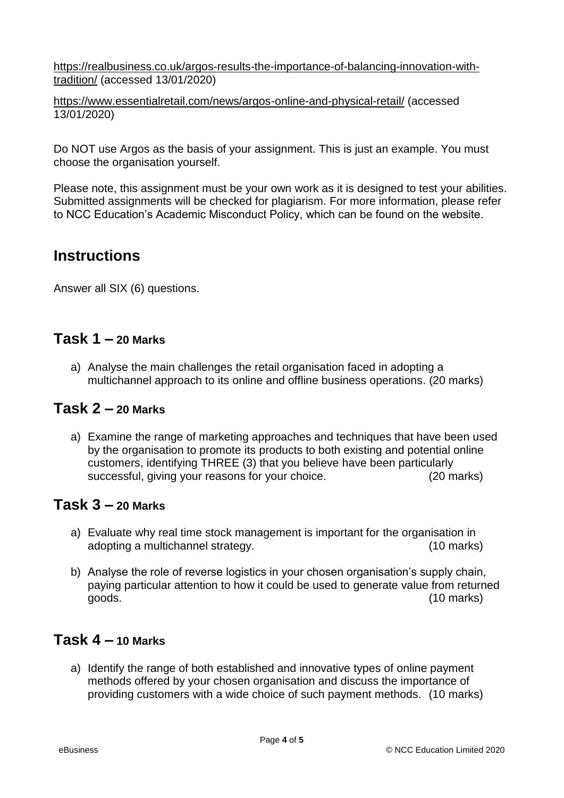[https://realbusiness.co.uk/argos-results-the-importance-of-balancing-innovation-with](https://realbusiness.co.uk/argos-results-the-importance-of-balancing-innovation-with-tradition/)[tradition/](https://realbusiness.co.uk/argos-results-the-importance-of-balancing-innovation-with-tradition/) (accessed 13/01/2020)

<https://www.essentialretail.com/news/argos-online-and-physical-retail/> (accessed 13/01/2020)

Do NOT use Argos as the basis of your assignment. This is just an example. You must choose the organisation yourself.

Please note, this assignment must be your own work as it is designed to test your abilities. Submitted assignments will be checked for plagiarism. For more information, please refer to NCC Education's Academic Misconduct Policy, which can be found on the website.

## **Instructions**

Answer all SIX (6) questions.

### **Task 1 – 20 Marks**

a) Analyse the main challenges the retail organisation faced in adopting a multichannel approach to its online and offline business operations. (20 marks)

### **Task 2 – 20 Marks**

a) Examine the range of marketing approaches and techniques that have been used by the organisation to promote its products to both existing and potential online customers, identifying THREE (3) that you believe have been particularly successful, giving your reasons for your choice. (20 marks)

#### **Task 3 – 20 Marks**

- a) Evaluate why real time stock management is important for the organisation in adopting a multichannel strategy. (10 marks)
- b) Analyse the role of reverse logistics in your chosen organisation's supply chain, paying particular attention to how it could be used to generate value from returned goods. (10 marks)

### **Task 4 – 10 Marks**

a) Identify the range of both established and innovative types of online payment methods offered by your chosen organisation and discuss the importance of providing customers with a wide choice of such payment methods. (10 marks)